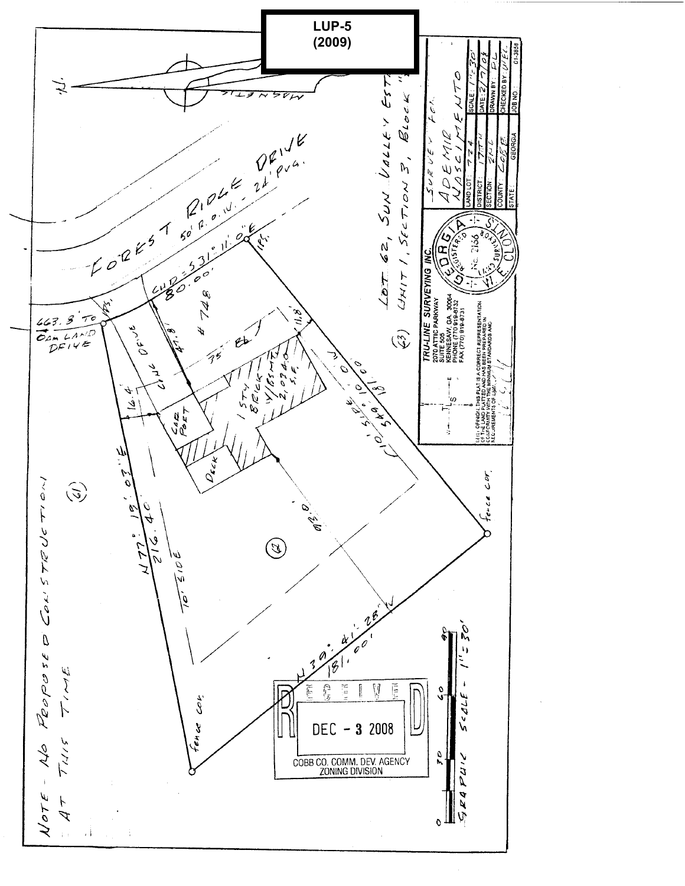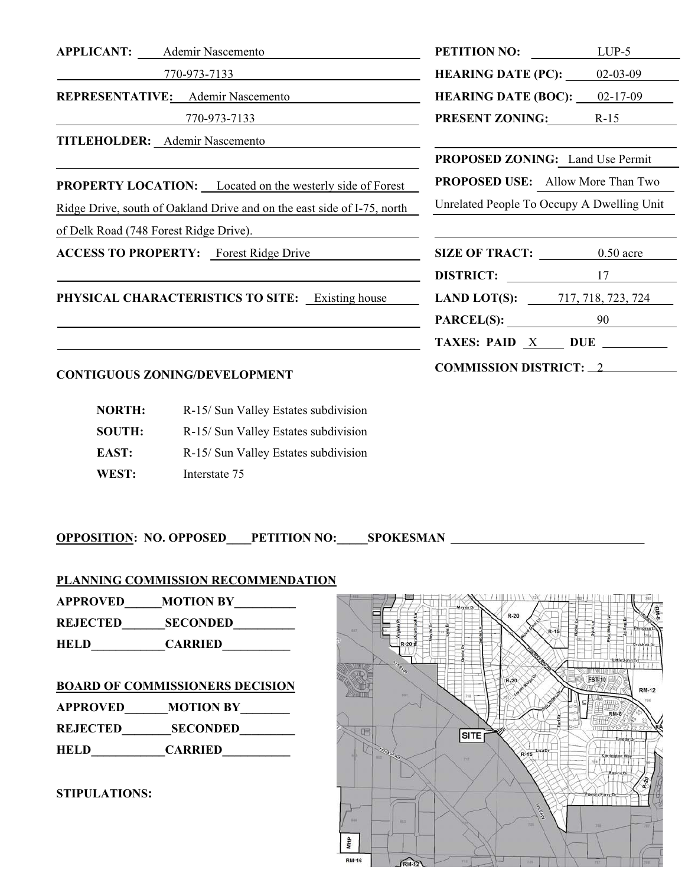**TITLEHOLDER:** Ademir Nascemento

**PROPERTY LOCATION:** Located on the westerly side of Forest **PROPOSED USE:** Allow More Than Two

Ridge Drive, south of Oakland Drive and on the east side of I-75, north Unrelated People To Occupy A Dwelling Unit

of Delk Road (748 Forest Ridge Drive).

#### **CONTIGUOUS ZONING/DEVELOPMENT**

| <b>NORTH:</b> | R-15/ Sun Valley Estates subdivision |
|---------------|--------------------------------------|
| <b>SOUTH:</b> | R-15/ Sun Valley Estates subdivision |
| EAST:         | R-15/ Sun Valley Estates subdivision |
| WEST:         | Interstate 75                        |

**OPPOSITION: NO. OPPOSED\_\_\_\_PETITION NO:\_\_\_\_\_SPOKESMAN** 

**PLANNING COMMISSION RECOMMENDATION**

**APPROVED\_\_\_\_\_\_MOTION BY\_\_\_\_\_\_\_\_\_\_** 

**REJECTED\_\_\_\_\_\_\_SECONDED\_\_\_\_\_\_\_\_\_\_** 

**HELD\_\_\_\_\_\_\_\_\_\_\_\_CARRIED\_\_\_\_\_\_\_\_\_\_\_** 

## **BOARD OF COMMISSIONERS DECISION**

**APPROVED\_\_\_\_\_\_\_MOTION BY\_\_\_\_\_\_\_\_ REJECTED\_\_\_\_\_\_\_\_SECONDED\_\_\_\_\_\_\_\_\_** 

**HELD\_\_\_\_\_\_\_\_\_\_\_\_CARRIED\_\_\_\_\_\_\_\_\_\_\_** 

#### **STIPULATIONS:**



| <b>APPLICANT:</b> | Ademir Nascemento                        | <b>PETITION NO:</b>        | LUP-5          |
|-------------------|------------------------------------------|----------------------------|----------------|
|                   | 770-973-7133                             | <b>HEARING DATE (PC):</b>  | $02 - 03 - 09$ |
|                   | <b>REPRESENTATIVE:</b> Ademir Nascemento | <b>HEARING DATE (BOC):</b> | 02-17-09       |
|                   | 770-973-7133                             | <b>PRESENT ZONING:</b>     | R-15           |
|                   |                                          |                            |                |

**PROPOSED ZONING:** Land Use Permit

| <b>ACCESS TO PROPERTY:</b> Forest Ridge Drive           | <b>SIZE OF TRACT:</b> | $0.50$ acre                              |  |
|---------------------------------------------------------|-----------------------|------------------------------------------|--|
|                                                         | <b>DISTRICT:</b> 17   |                                          |  |
| <b>PHYSICAL CHARACTERISTICS TO SITE:</b> Existing house |                       | <b>LAND LOT(S):</b> $717, 718, 723, 724$ |  |
|                                                         | $PARCEL(S):$ 90       |                                          |  |
|                                                         |                       | TAXES: PAID X DUE                        |  |
| CONTIGUOUS ZONING/DEVELOPMENT                           |                       | <b>COMMISSION DISTRICT: 2</b>            |  |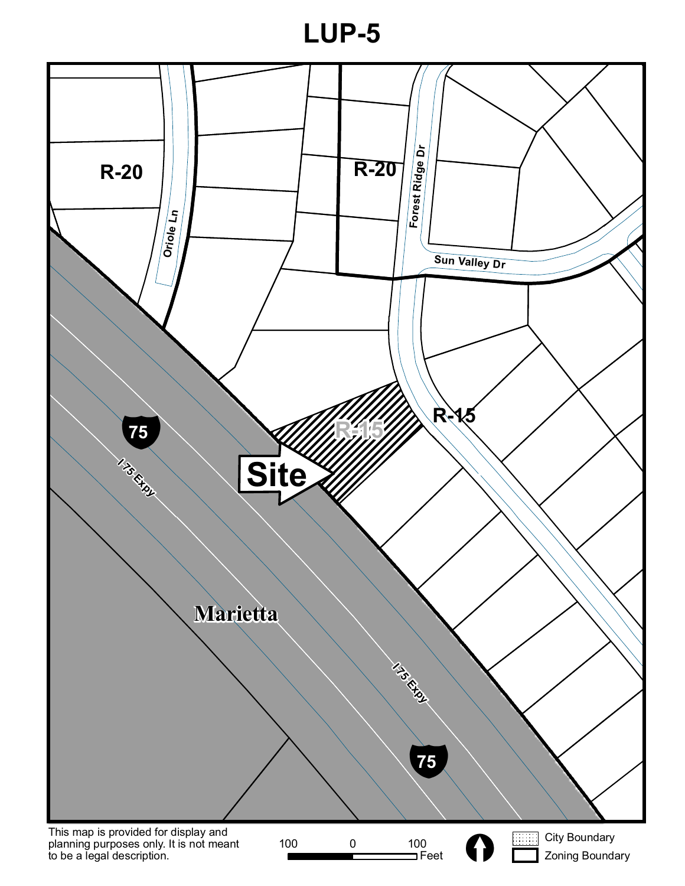**LUP-5**

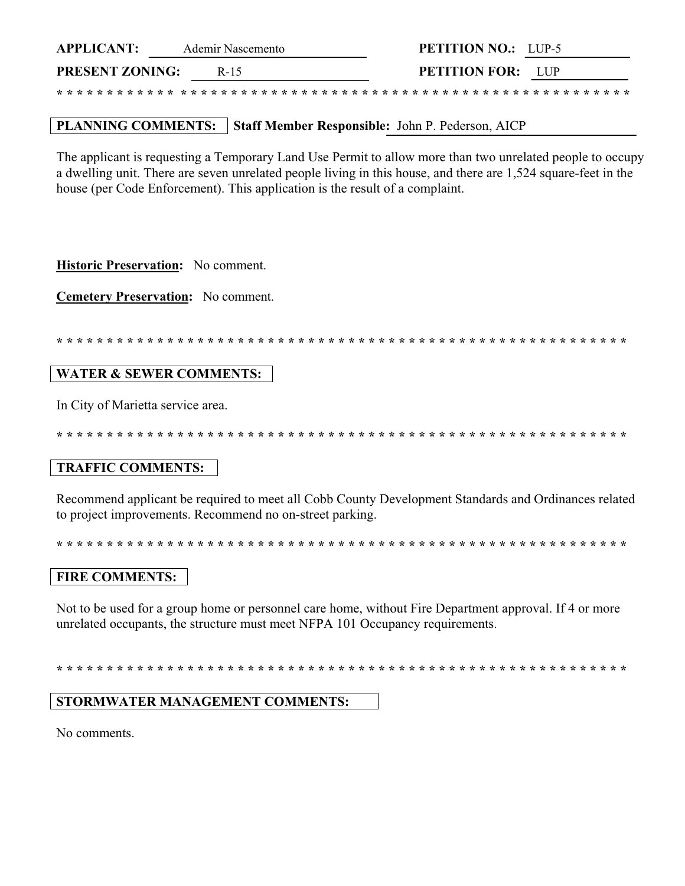| <b>APPLICANT:</b>      | Ademir Nascemento | <b>PETITION NO.:</b> LUP-5 |  |
|------------------------|-------------------|----------------------------|--|
| <b>PRESENT ZONING:</b> | R-15              | <b>PETITION FOR:</b> LUP   |  |
|                        |                   |                            |  |

# PLANNING COMMENTS: Staff Member Responsible: John P. Pederson, AICP

The applicant is requesting a Temporary Land Use Permit to allow more than two unrelated people to occupy a dwelling unit. There are seven unrelated people living in this house, and there are 1,524 square-feet in the house (per Code Enforcement). This application is the result of a complaint.

Historic Preservation: No comment.

**Cemetery Preservation:** No comment.

#### **WATER & SEWER COMMENTS:**

In City of Marietta service area.

\* \* \* \* \* \* \* \* \* \* \* \* \* \* \* \* \* \* \*

## **TRAFFIC COMMENTS:**

Recommend applicant be required to meet all Cobb County Development Standards and Ordinances related to project improvements. Recommend no on-street parking.

## **FIRE COMMENTS:**

Not to be used for a group home or personnel care home, without Fire Department approval. If 4 or more unrelated occupants, the structure must meet NFPA 101 Occupancy requirements.

## **STORMWATER MANAGEMENT COMMENTS:**

No comments.